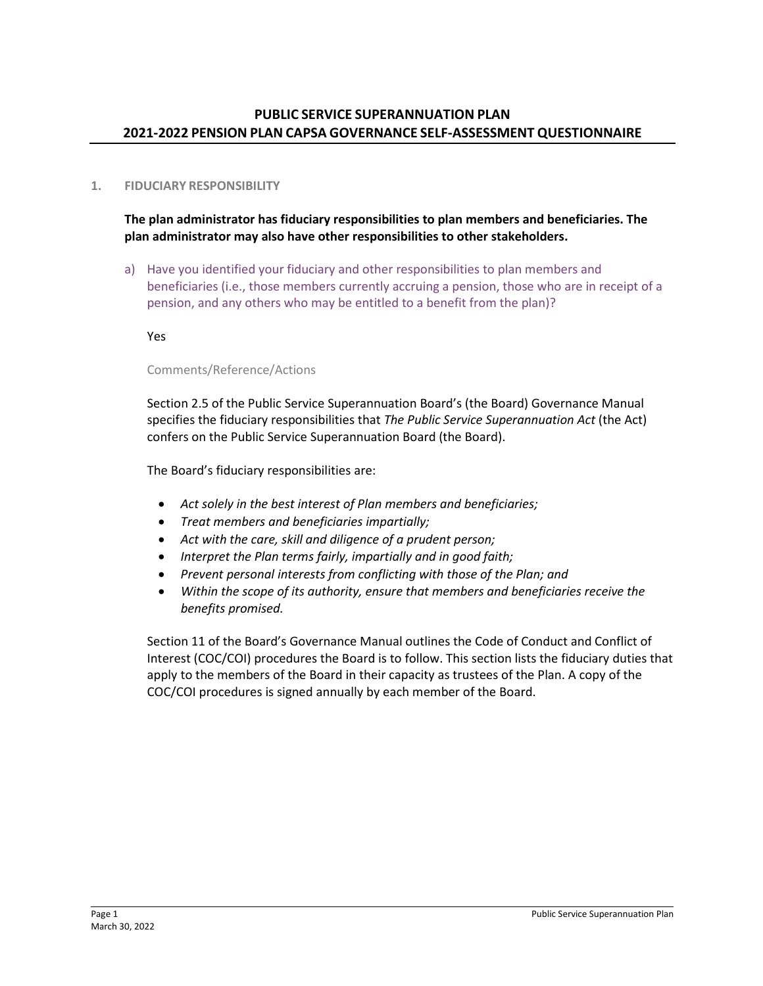# **1. FIDUCIARY RESPONSIBILITY**

**The plan administrator has fiduciary responsibilities to plan members and beneficiaries. The plan administrator may also have other responsibilities to other stakeholders.** 

a) Have you identified your fiduciary and other responsibilities to plan members and beneficiaries (i.e., those members currently accruing a pension, those who are in receipt of a pension, and any others who may be entitled to a benefit from the plan)?

Yes

## Comments/Reference/Actions

Section 2.5 of the Public Service Superannuation Board's (the Board) Governance Manual specifies the fiduciary responsibilities that *The Public Service Superannuation Act* (the Act) confers on the Public Service Superannuation Board (the Board).

The Board's fiduciary responsibilities are:

- *Act solely in the best interest of Plan members and beneficiaries;*
- *Treat members and beneficiaries impartially;*
- *Act with the care, skill and diligence of a prudent person;*
- *Interpret the Plan terms fairly, impartially and in good faith;*
- *Prevent personal interests from conflicting with those of the Plan; and*
- *Within the scope of its authority, ensure that members and beneficiaries receive the benefits promised.*

Section 11 of the Board's Governance Manual outlines the Code of Conduct and Conflict of Interest (COC/COI) procedures the Board is to follow. This section lists the fiduciary duties that apply to the members of the Board in their capacity as trustees of the Plan. A copy of the COC/COI procedures is signed annually by each member of the Board.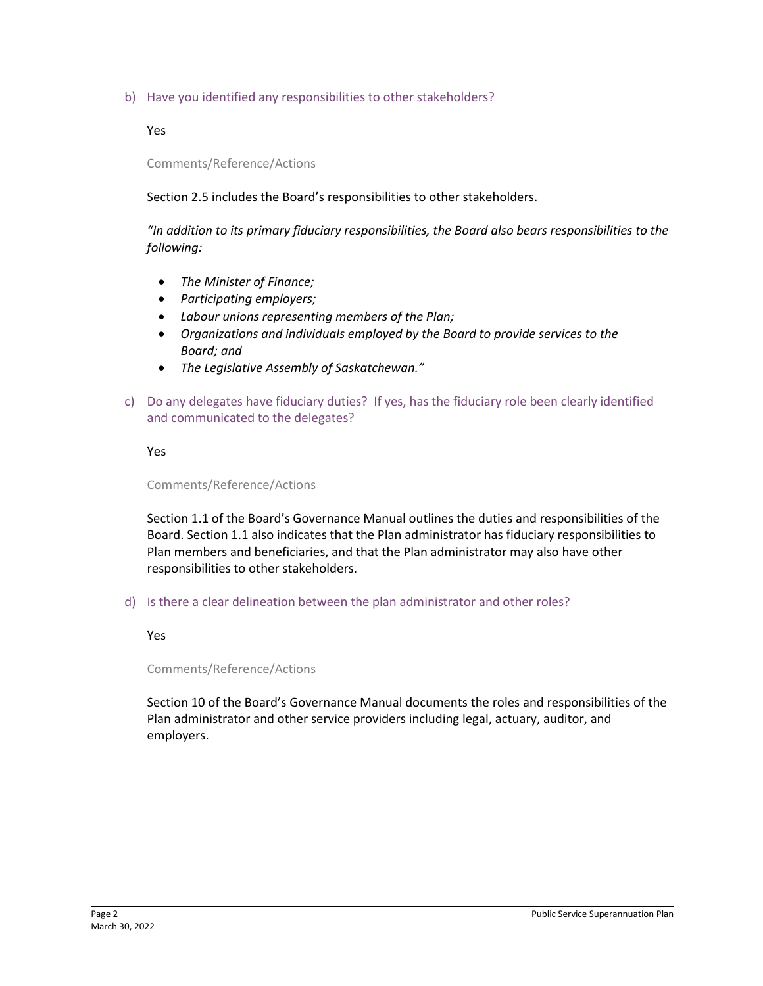b) Have you identified any responsibilities to other stakeholders?

Yes

Comments/Reference/Actions

Section 2.5 includes the Board's responsibilities to other stakeholders.

*"In addition to its primary fiduciary responsibilities, the Board also bears responsibilities to the following:*

- *The Minister of Finance;*
- *Participating employers;*
- *Labour unions representing members of the Plan;*
- *Organizations and individuals employed by the Board to provide services to the Board; and*
- *The Legislative Assembly of Saskatchewan."*
- c) Do any delegates have fiduciary duties? If yes, has the fiduciary role been clearly identified and communicated to the delegates?

Yes

### Comments/Reference/Actions

Section 1.1 of the Board's Governance Manual outlines the duties and responsibilities of the Board. Section 1.1 also indicates that the Plan administrator has fiduciary responsibilities to Plan members and beneficiaries, and that the Plan administrator may also have other responsibilities to other stakeholders.

d) Is there a clear delineation between the plan administrator and other roles?

### Yes

Comments/Reference/Actions

Section 10 of the Board's Governance Manual documents the roles and responsibilities of the Plan administrator and other service providers including legal, actuary, auditor, and employers.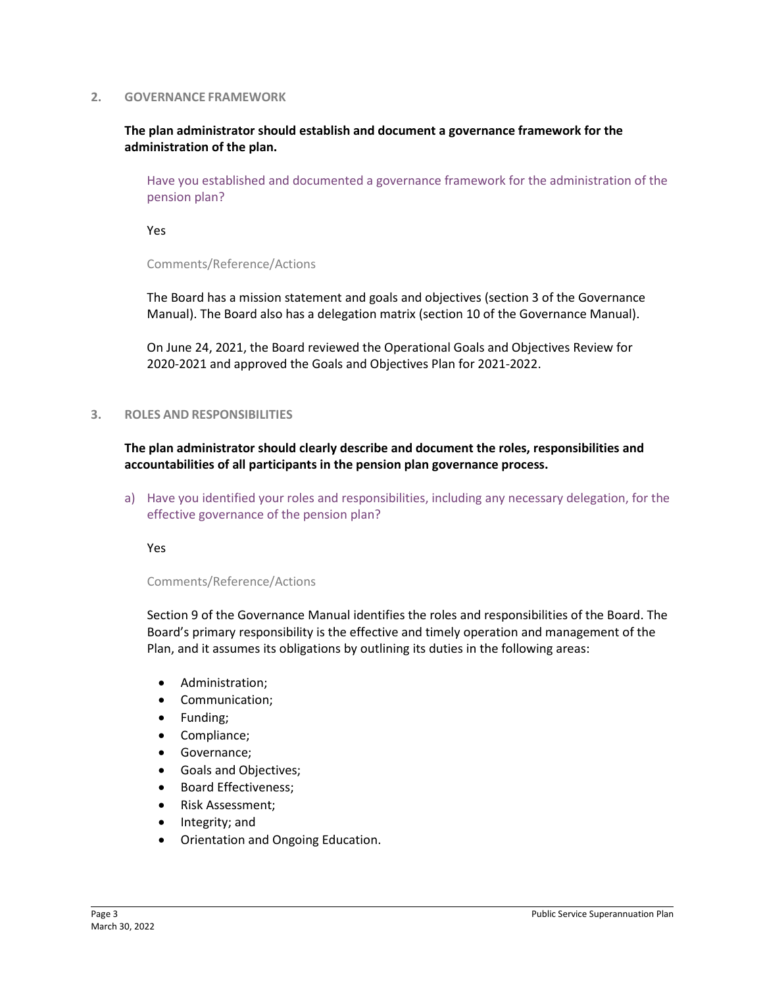#### **2. GOVERNANCE FRAMEWORK**

## **The plan administrator should establish and document a governance framework for the administration of the plan.**

Have you established and documented a governance framework for the administration of the pension plan?

Yes

Comments/Reference/Actions

The Board has a mission statement and goals and objectives (section 3 of the Governance Manual). The Board also has a delegation matrix (section 10 of the Governance Manual).

On June 24, 2021, the Board reviewed the Operational Goals and Objectives Review for 2020-2021 and approved the Goals and Objectives Plan for 2021-2022.

#### **3. ROLES AND RESPONSIBILITIES**

**The plan administrator should clearly describe and document the roles, responsibilities and accountabilities of all participants in the pension plan governance process.** 

a) Have you identified your roles and responsibilities, including any necessary delegation, for the effective governance of the pension plan?

Yes

#### Comments/Reference/Actions

Section 9 of the Governance Manual identifies the roles and responsibilities of the Board. The Board's primary responsibility is the effective and timely operation and management of the Plan, and it assumes its obligations by outlining its duties in the following areas:

- Administration;
- Communication;
- Funding;
- Compliance;
- Governance;
- Goals and Objectives;
- Board Effectiveness;
- Risk Assessment;
- Integrity; and
- Orientation and Ongoing Education.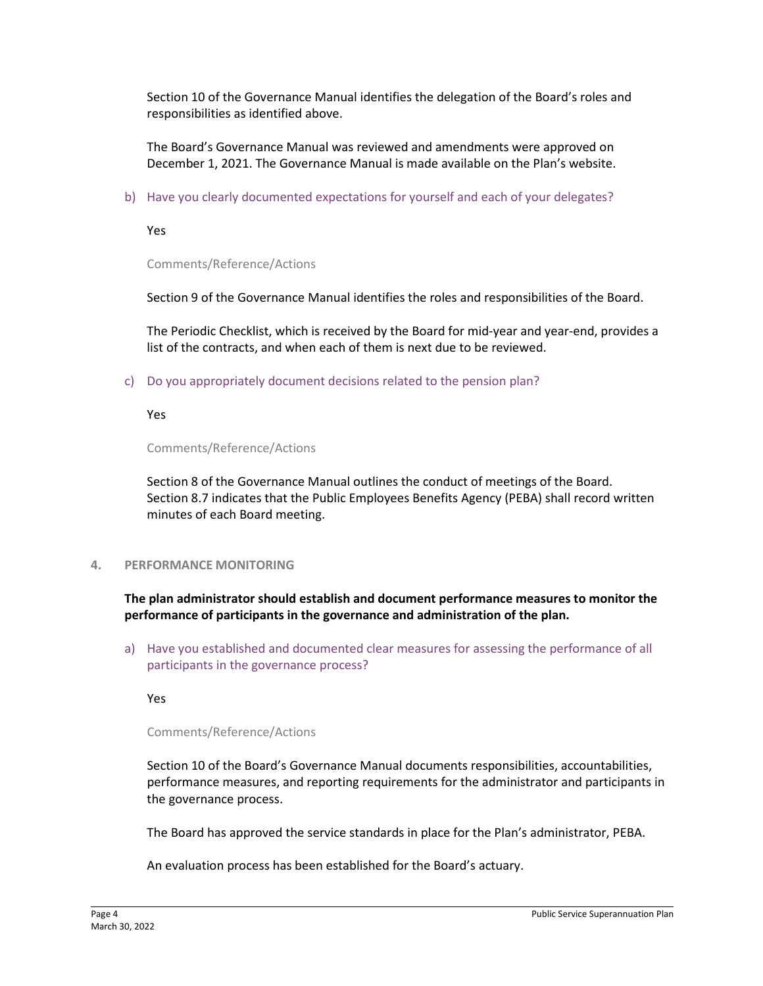Section 10 of the Governance Manual identifies the delegation of the Board's roles and responsibilities as identified above.

The Board's Governance Manual was reviewed and amendments were approved on December 1, 2021. The Governance Manual is made available on the Plan's website.

b) Have you clearly documented expectations for yourself and each of your delegates?

Yes

Comments/Reference/Actions

Section 9 of the Governance Manual identifies the roles and responsibilities of the Board.

The Periodic Checklist, which is received by the Board for mid-year and year-end, provides a list of the contracts, and when each of them is next due to be reviewed.

c) Do you appropriately document decisions related to the pension plan?

Yes

Comments/Reference/Actions

Section 8 of the Governance Manual outlines the conduct of meetings of the Board. Section 8.7 indicates that the Public Employees Benefits Agency (PEBA) shall record written minutes of each Board meeting.

**4. PERFORMANCE MONITORING**

**The plan administrator should establish and document performance measures to monitor the performance of participants in the governance and administration of the plan.**

a) Have you established and documented clear measures for assessing the performance of all participants in the governance process?

Yes

### Comments/Reference/Actions

Section 10 of the Board's Governance Manual documents responsibilities, accountabilities, performance measures, and reporting requirements for the administrator and participants in the governance process.

The Board has approved the service standards in place for the Plan's administrator, PEBA.

An evaluation process has been established for the Board's actuary.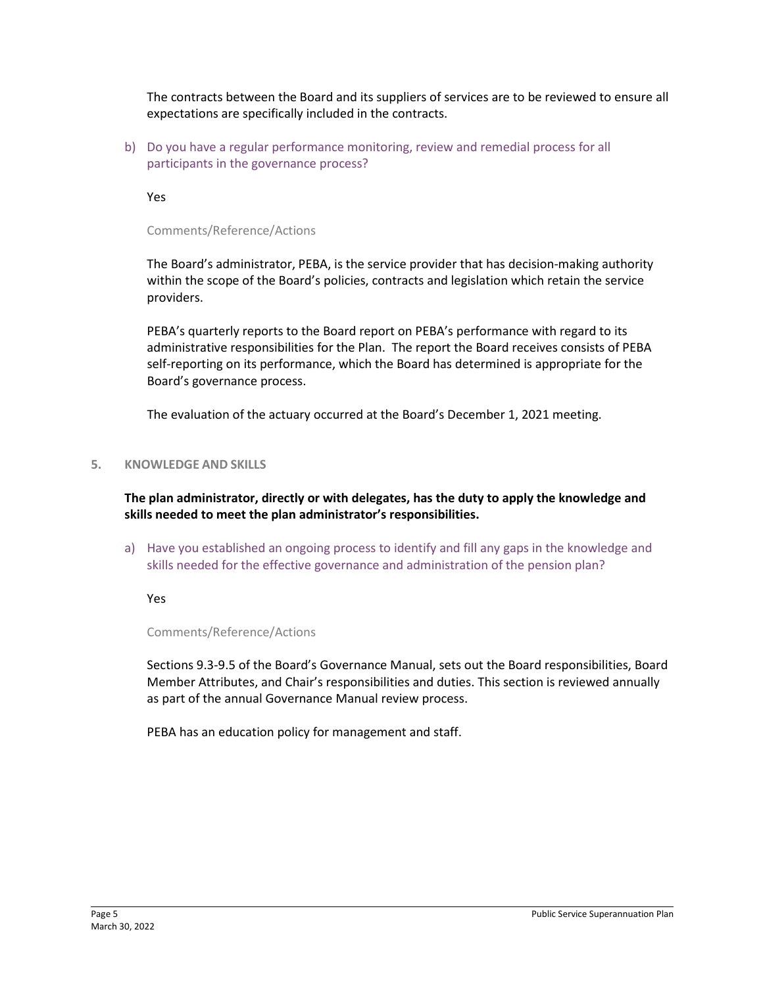The contracts between the Board and its suppliers of services are to be reviewed to ensure all expectations are specifically included in the contracts.

b) Do you have a regular performance monitoring, review and remedial process for all participants in the governance process?

Yes

Comments/Reference/Actions

The Board's administrator, PEBA, is the service provider that has decision-making authority within the scope of the Board's policies, contracts and legislation which retain the service providers.

PEBA's quarterly reports to the Board report on PEBA's performance with regard to its administrative responsibilities for the Plan. The report the Board receives consists of PEBA self-reporting on its performance, which the Board has determined is appropriate for the Board's governance process.

The evaluation of the actuary occurred at the Board's December 1, 2021 meeting.

## **5. KNOWLEDGE AND SKILLS**

**The plan administrator, directly or with delegates, has the duty to apply the knowledge and skills needed to meet the plan administrator's responsibilities.**

a) Have you established an ongoing process to identify and fill any gaps in the knowledge and skills needed for the effective governance and administration of the pension plan?

Yes

Comments/Reference/Actions

Sections 9.3-9.5 of the Board's Governance Manual, sets out the Board responsibilities, Board Member Attributes, and Chair's responsibilities and duties. This section is reviewed annually as part of the annual Governance Manual review process.

PEBA has an education policy for management and staff.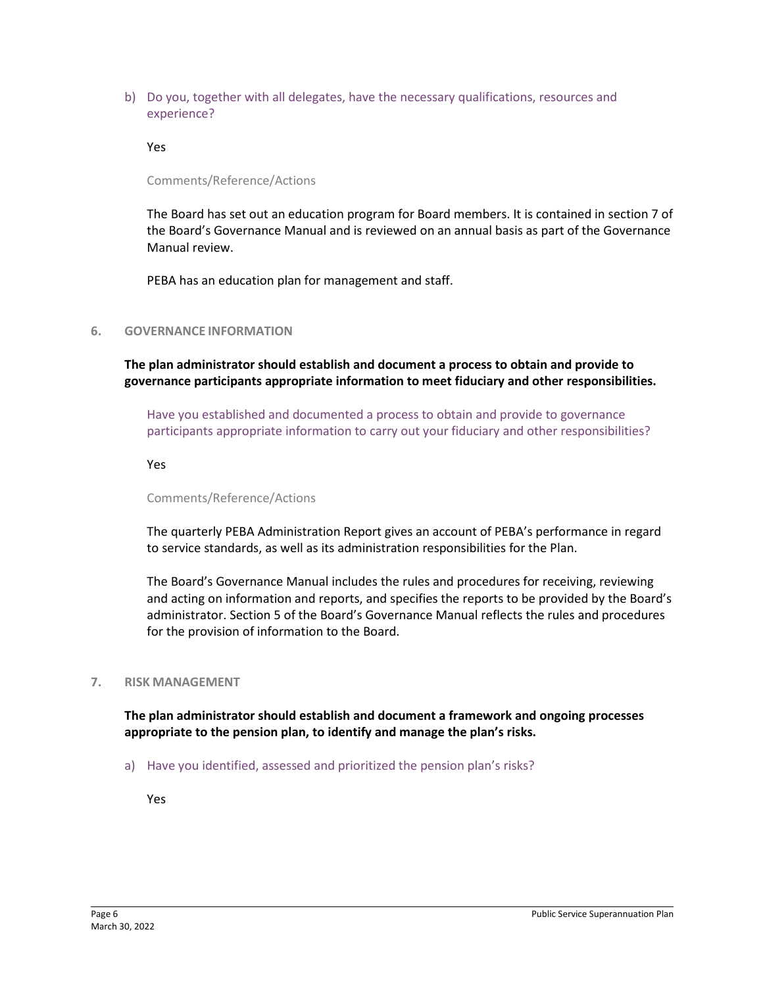b) Do you, together with all delegates, have the necessary qualifications, resources and experience?

Yes

Comments/Reference/Actions

The Board has set out an education program for Board members. It is contained in section 7 of the Board's Governance Manual and is reviewed on an annual basis as part of the Governance Manual review.

PEBA has an education plan for management and staff.

### **6. GOVERNANCE INFORMATION**

**The plan administrator should establish and document a process to obtain and provide to governance participants appropriate information to meet fiduciary and other responsibilities.**

Have you established and documented a process to obtain and provide to governance participants appropriate information to carry out your fiduciary and other responsibilities?

Yes

Comments/Reference/Actions

The quarterly PEBA Administration Report gives an account of PEBA's performance in regard to service standards, as well as its administration responsibilities for the Plan.

The Board's Governance Manual includes the rules and procedures for receiving, reviewing and acting on information and reports, and specifies the reports to be provided by the Board's administrator. Section 5 of the Board's Governance Manual reflects the rules and procedures for the provision of information to the Board.

### **7. RISK MANAGEMENT**

**The plan administrator should establish and document a framework and ongoing processes appropriate to the pension plan, to identify and manage the plan's risks.**

a) Have you identified, assessed and prioritized the pension plan's risks?

Yes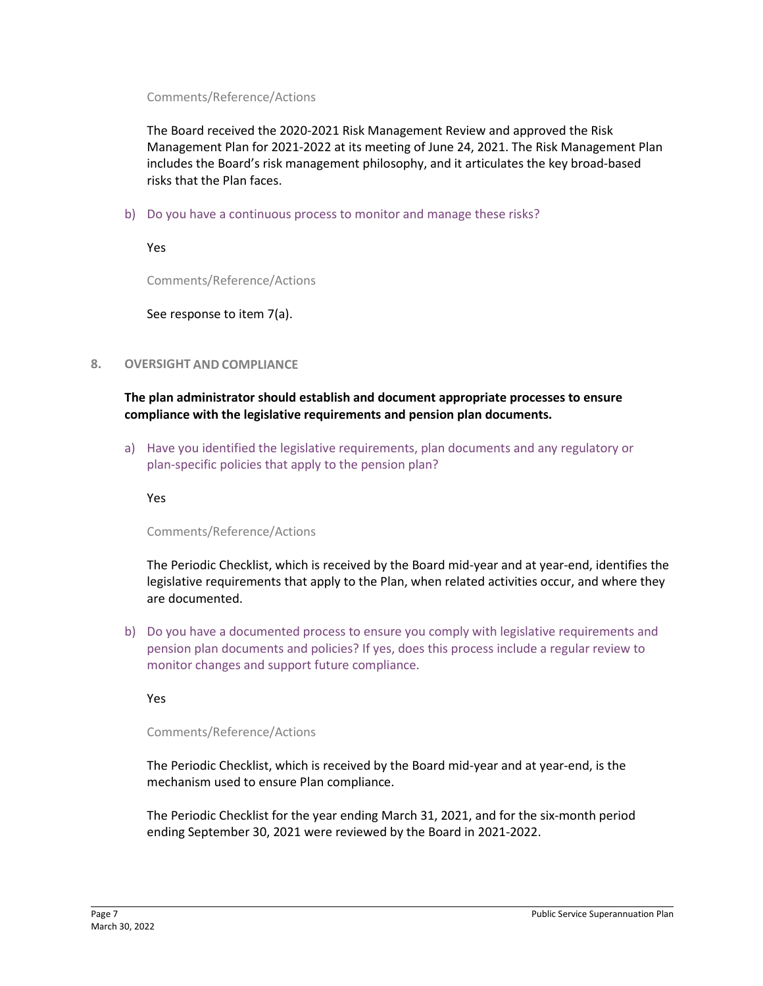### Comments/Reference/Actions

The Board received the 2020-2021 Risk Management Review and approved the Risk Management Plan for 2021-2022 at its meeting of June 24, 2021. The Risk Management Plan includes the Board's risk management philosophy, and it articulates the key broad-based risks that the Plan faces.

b) Do you have a continuous process to monitor and manage these risks?

Yes

Comments/Reference/Actions

See response to item 7(a).

## **8. OVERSIGHT AND COMPLIANCE**

**The plan administrator should establish and document appropriate processes to ensure compliance with the legislative requirements and pension plan documents.**

a) Have you identified the legislative requirements, plan documents and any regulatory or plan-specific policies that apply to the pension plan?

Yes

Comments/Reference/Actions

The Periodic Checklist, which is received by the Board mid-year and at year-end, identifies the legislative requirements that apply to the Plan, when related activities occur, and where they are documented.

b) Do you have a documented process to ensure you comply with legislative requirements and pension plan documents and policies? If yes, does this process include a regular review to monitor changes and support future compliance.

Yes

### Comments/Reference/Actions

The Periodic Checklist, which is received by the Board mid-year and at year-end, is the mechanism used to ensure Plan compliance.

The Periodic Checklist for the year ending March 31, 2021, and for the six-month period ending September 30, 2021 were reviewed by the Board in 2021-2022.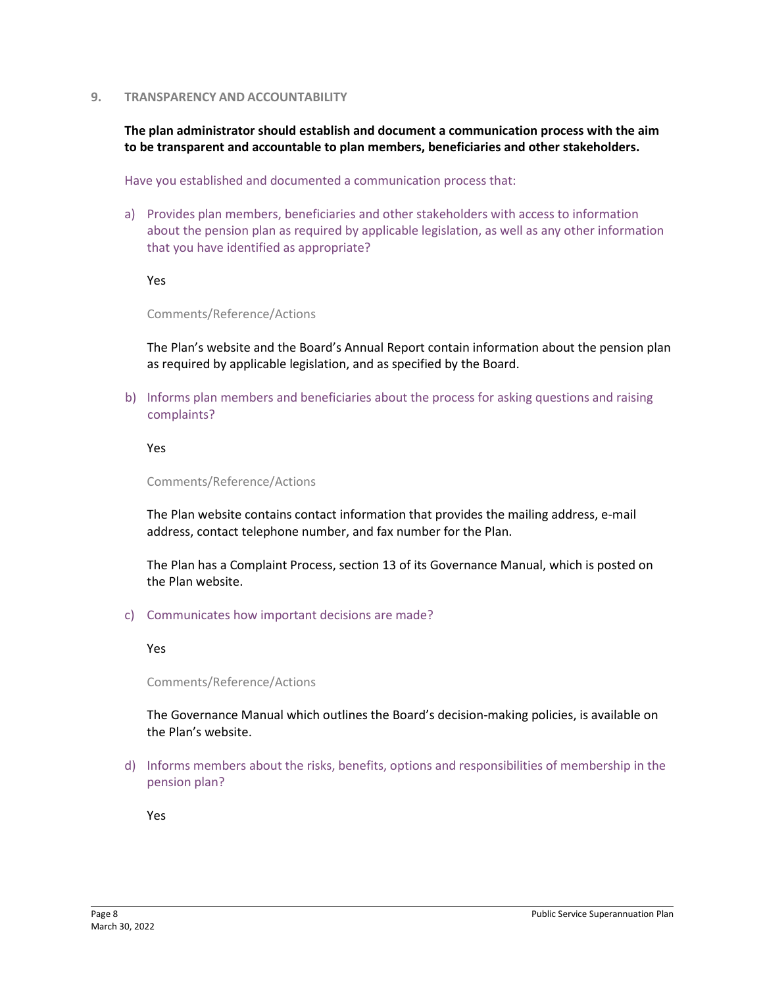#### **9. TRANSPARENCY AND ACCOUNTABILITY**

**The plan administrator should establish and document a communication process with the aim to be transparent and accountable to plan members, beneficiaries and other stakeholders.**

Have you established and documented a communication process that:

a) Provides plan members, beneficiaries and other stakeholders with access to information about the pension plan as required by applicable legislation, as well as any other information that you have identified as appropriate?

Yes

Comments/Reference/Actions

The Plan's website and the Board's Annual Report contain information about the pension plan as required by applicable legislation, and as specified by the Board.

b) Informs plan members and beneficiaries about the process for asking questions and raising complaints?

Yes

Comments/Reference/Actions

The Plan website contains contact information that provides the mailing address, e-mail address, contact telephone number, and fax number for the Plan.

The Plan has a Complaint Process, section 13 of its Governance Manual, which is posted on the Plan website.

c) Communicates how important decisions are made?

Yes

Comments/Reference/Actions

The Governance Manual which outlines the Board's decision-making policies, is available on the Plan's website.

d) Informs members about the risks, benefits, options and responsibilities of membership in the pension plan?

Yes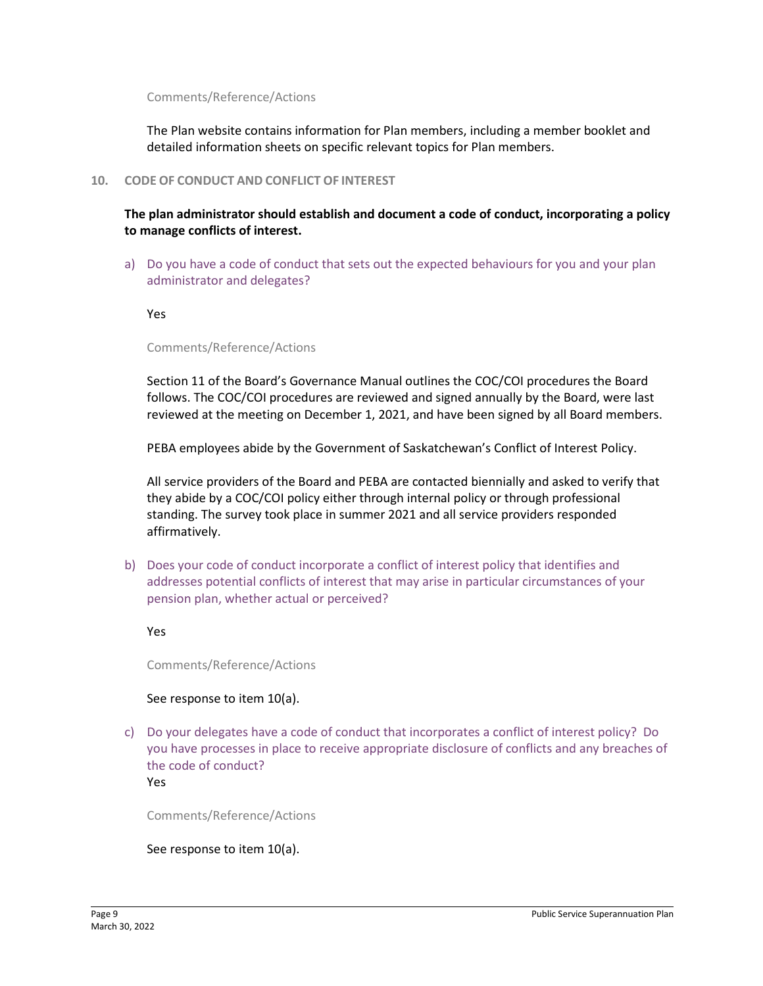#### Comments/Reference/Actions

The Plan website contains information for Plan members, including a member booklet and detailed information sheets on specific relevant topics for Plan members.

#### **10. CODE OF CONDUCT AND CONFLICT OF INTEREST**

**The plan administrator should establish and document a code of conduct, incorporating a policy to manage conflicts of interest.**

a) Do you have a code of conduct that sets out the expected behaviours for you and your plan administrator and delegates?

Yes

#### Comments/Reference/Actions

Section 11 of the Board's Governance Manual outlines the COC/COI procedures the Board follows. The COC/COI procedures are reviewed and signed annually by the Board, were last reviewed at the meeting on December 1, 2021, and have been signed by all Board members.

PEBA employees abide by the Government of Saskatchewan's Conflict of Interest Policy.

All service providers of the Board and PEBA are contacted biennially and asked to verify that they abide by a COC/COI policy either through internal policy or through professional standing. The survey took place in summer 2021 and all service providers responded affirmatively.

b) Does your code of conduct incorporate a conflict of interest policy that identifies and addresses potential conflicts of interest that may arise in particular circumstances of your pension plan, whether actual or perceived?

Yes

Comments/Reference/Actions

### See response to item 10(a).

c) Do your delegates have a code of conduct that incorporates a conflict of interest policy? Do you have processes in place to receive appropriate disclosure of conflicts and any breaches of the code of conduct? Yes

Comments/Reference/Actions

### See response to item 10(a).